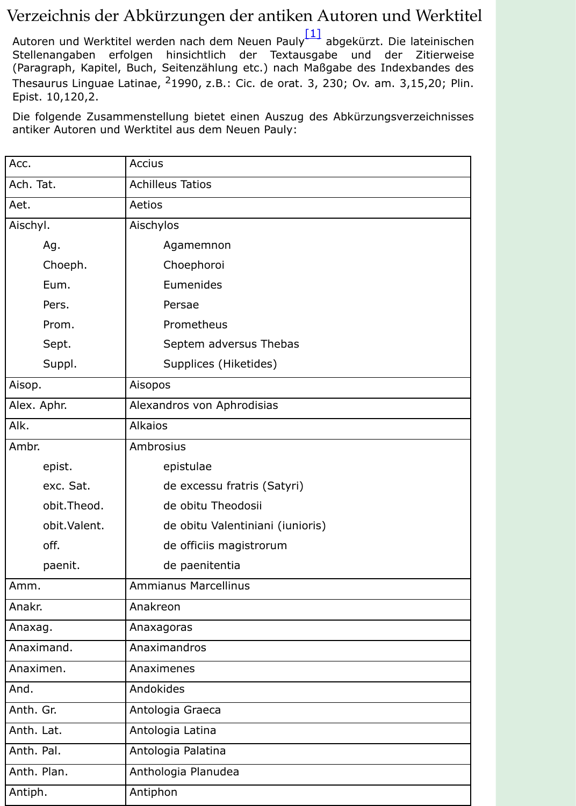| Acc.          | <b>Accius</b>                    |
|---------------|----------------------------------|
| Ach. Tat.     | <b>Achilleus Tatios</b>          |
| Aet.          | Aetios                           |
| Aischyl.      | Aischylos                        |
| Ag.           | Agamemnon                        |
| Choeph.       | Choephoroi                       |
| Eum.          | Eumenides                        |
| Pers.         | Persae                           |
| Prom.         | Prometheus                       |
| Sept.         | Septem adversus Thebas           |
| Suppl.        | Supplices (Hiketides)            |
| Aisop.        | Aisopos                          |
| Alex. Aphr.   | Alexandros von Aphrodisias       |
| Alk.          | <b>Alkaios</b>                   |
| Ambr.         | Ambrosius                        |
| epist.        | epistulae                        |
| exc. Sat.     | de excessu fratris (Satyri)      |
| obit.Theod.   | de obitu Theodosii               |
| obit. Valent. | de obitu Valentiniani (iunioris) |
| off.          | de officiis magistrorum          |
| paenit.       | de paenitentia                   |
| Amm.          | <b>Ammianus Marcellinus</b>      |
| Anakr.        | Anakreon                         |
| Anaxag.       | Anaxagoras                       |
| Anaximand.    | Anaximandros                     |
| Anaximen.     | Anaximenes                       |
| And.          | Andokides                        |
| Anth. Gr.     | Antologia Graeca                 |
| Anth. Lat.    | Antologia Latina                 |
| Anth. Pal.    | Antologia Palatina               |
| Anth. Plan.   | Anthologia Planudea              |
| Antiph.       | Antiphon                         |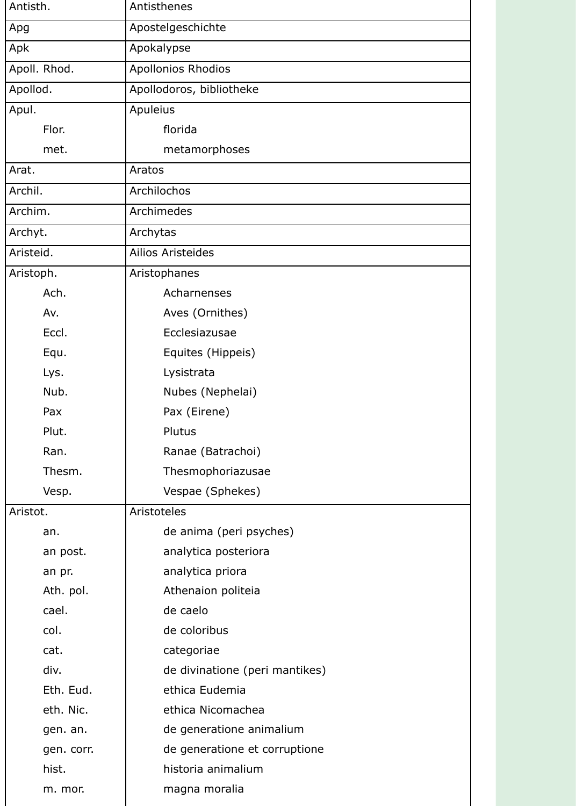| Antisth.     | Antisthenes                    |
|--------------|--------------------------------|
| Apg          | Apostelgeschichte              |
| Apk          | Apokalypse                     |
| Apoll. Rhod. | Apollonios Rhodios             |
| Apollod.     | Apollodoros, bibliotheke       |
| Apul.        | Apuleius                       |
| Flor.        | florida                        |
| met.         | metamorphoses                  |
| Arat.        | Aratos                         |
| Archil.      | Archilochos                    |
| Archim.      | Archimedes                     |
| Archyt.      | Archytas                       |
| Aristeid.    | <b>Ailios Aristeides</b>       |
| Aristoph.    | Aristophanes                   |
| Ach.         | Acharnenses                    |
| Av.          | Aves (Ornithes)                |
| Eccl.        | Ecclesiazusae                  |
| Equ.         | Equites (Hippeis)              |
| Lys.         | Lysistrata                     |
| Nub.         | Nubes (Nephelai)               |
| Pax          | Pax (Eirene)                   |
| Plut.        | Plutus                         |
| Ran.         | Ranae (Batrachoi)              |
| Thesm.       | Thesmophoriazusae              |
| Vesp.        | Vespae (Sphekes)               |
| Aristot.     | Aristoteles                    |
| an.          | de anima (peri psyches)        |
| an post.     | analytica posteriora           |
| an pr.       | analytica priora               |
| Ath. pol.    | Athenaion politeia             |
| cael.        | de caelo                       |
| col.         | de coloribus                   |
| cat.         | categoriae                     |
| div.         | de divinatione (peri mantikes) |
| Eth. Eud.    | ethica Eudemia                 |
| eth. Nic.    | ethica Nicomachea              |
| gen. an.     | de generatione animalium       |
| gen. corr.   | de generatione et corruptione  |
| hist.        | historia animalium             |
| m. mor.      | magna moralia                  |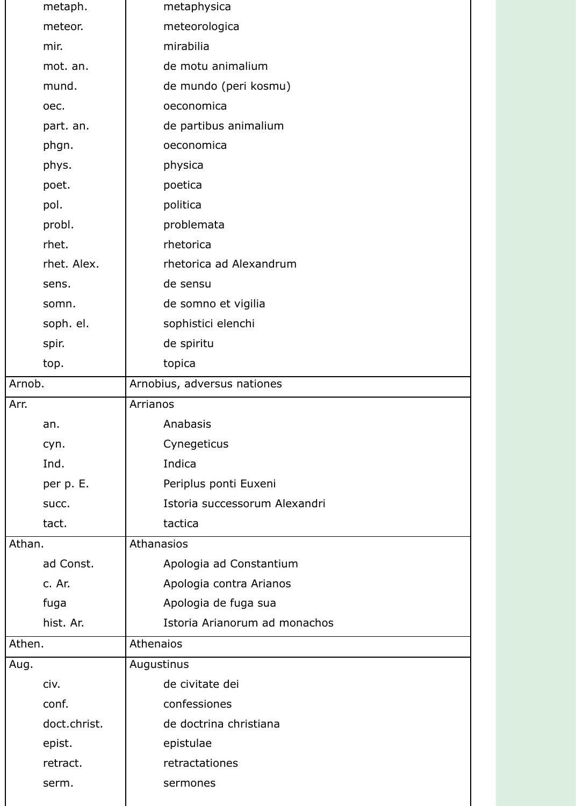|        | metaph.      | metaphysica                   |
|--------|--------------|-------------------------------|
|        | meteor.      | meteorologica                 |
|        | mir.         | mirabilia                     |
|        | mot. an.     | de motu animalium             |
|        | mund.        | de mundo (peri kosmu)         |
|        | oec.         | oeconomica                    |
|        | part. an.    | de partibus animalium         |
|        | phgn.        | oeconomica                    |
|        | phys.        | physica                       |
|        | poet.        | poetica                       |
|        | pol.         | politica                      |
|        | probl.       | problemata                    |
|        | rhet.        | rhetorica                     |
|        | rhet. Alex.  | rhetorica ad Alexandrum       |
|        | sens.        | de sensu                      |
|        | somn.        | de somno et vigilia           |
|        | soph. el.    | sophistici elenchi            |
|        | spir.        | de spiritu                    |
|        | top.         | topica                        |
| Arnob. |              | Arnobius, adversus nationes   |
| Arr.   |              | Arrianos                      |
|        | an.          | Anabasis                      |
|        | cyn.         | Cynegeticus                   |
|        | Ind.         | Indica                        |
|        | per p. E.    | Periplus ponti Euxeni         |
|        | succ.        | Istoria successorum Alexandri |
|        | tact.        | tactica                       |
| Athan. |              | Athanasios                    |
|        | ad Const.    | Apologia ad Constantium       |
|        | c. Ar.       | Apologia contra Arianos       |
|        | fuga         | Apologia de fuga sua          |
|        | hist. Ar.    | Istoria Arianorum ad monachos |
| Athen. |              | Athenaios                     |
| Aug.   |              | Augustinus                    |
|        | civ.         | de civitate dei               |
|        | conf.        | confessiones                  |
|        | doct.christ. | de doctrina christiana        |
|        | epist.       | epistulae                     |
|        | retract.     | retractationes                |
|        | serm.        | sermones                      |
|        |              |                               |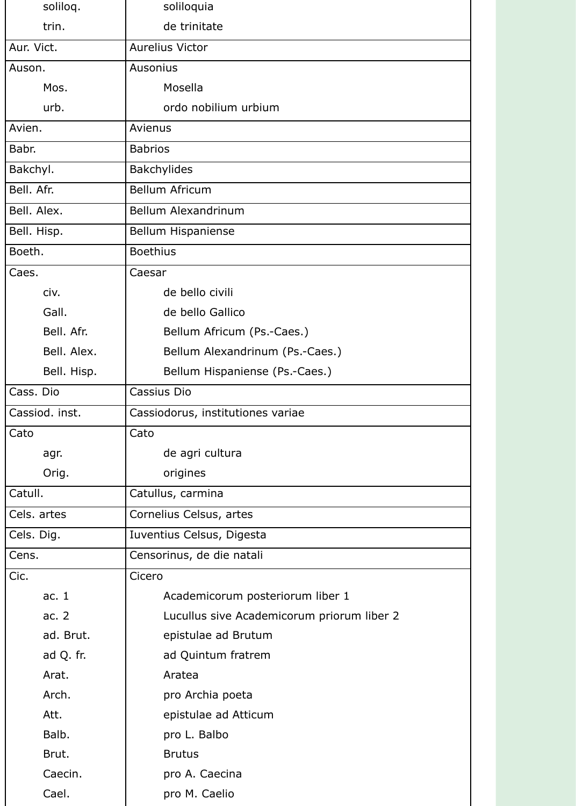| soliloq.       | soliloquia                                 |
|----------------|--------------------------------------------|
| trin.          | de trinitate                               |
| Aur. Vict.     | <b>Aurelius Victor</b>                     |
| Auson.         | <b>Ausonius</b>                            |
| Mos.           | Mosella                                    |
| urb.           | ordo nobilium urbium                       |
| Avien.         | Avienus                                    |
| Babr.          | <b>Babrios</b>                             |
| Bakchyl.       | <b>Bakchylides</b>                         |
| Bell. Afr.     | <b>Bellum Africum</b>                      |
| Bell. Alex.    | Bellum Alexandrinum                        |
| Bell. Hisp.    | <b>Bellum Hispaniense</b>                  |
| Boeth.         | <b>Boethius</b>                            |
| Caes.          | Caesar                                     |
| civ.           | de bello civili                            |
| Gall.          | de bello Gallico                           |
| Bell. Afr.     | Bellum Africum (Ps.-Caes.)                 |
| Bell. Alex.    | Bellum Alexandrinum (Ps.-Caes.)            |
| Bell. Hisp.    | Bellum Hispaniense (Ps.-Caes.)             |
| Cass. Dio      | Cassius Dio                                |
|                |                                            |
| Cassiod. inst. | Cassiodorus, institutiones variae          |
| Cato           | Cato                                       |
| agr.           | de agri cultura                            |
| Orig.          | origines                                   |
| Catull.        | Catullus, carmina                          |
| Cels. artes    | Cornelius Celsus, artes                    |
| Cels. Dig.     | Iuventius Celsus, Digesta                  |
| Cens.          | Censorinus, de die natali                  |
| Cic.           | Cicero                                     |
| ac. $1$        | Academicorum posteriorum liber 1           |
| ac. $2$        | Lucullus sive Academicorum priorum liber 2 |
| ad. Brut.      | epistulae ad Brutum                        |
| ad Q. fr.      | ad Quintum fratrem                         |
| Arat.          | Aratea                                     |
| Arch.          | pro Archia poeta                           |
| Att.           | epistulae ad Atticum                       |
| Balb.          | pro L. Balbo                               |
| Brut.          | <b>Brutus</b>                              |
| Caecin.        | pro A. Caecina                             |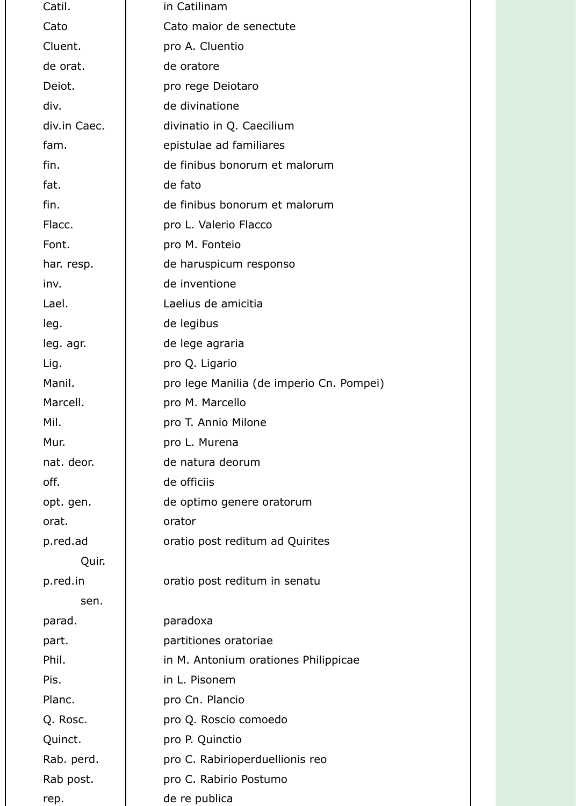| Catil.       | in Catilinam                             |
|--------------|------------------------------------------|
| Cato         | Cato maior de senectute                  |
| Cluent.      | pro A. Cluentio                          |
| de orat.     | de oratore                               |
| Deiot.       | pro rege Deiotaro                        |
| div.         | de divinatione                           |
| div.in Caec. | divinatio in Q. Caecilium                |
| fam.         | epistulae ad familiares                  |
| fin.         | de finibus bonorum et malorum            |
| fat.         | de fato                                  |
| fin.         | de finibus bonorum et malorum            |
| Flacc.       | pro L. Valerio Flacco                    |
| Font.        | pro M. Fonteio                           |
| har. resp.   | de haruspicum responso                   |
| inv.         | de inventione                            |
| Lael.        | Laelius de amicitia                      |
| leg.         | de legibus                               |
| leg. agr.    | de lege agraria                          |
| Lig.         | pro Q. Ligario                           |
| Manil.       | pro lege Manilia (de imperio Cn. Pompei) |
| Marcell.     | pro M. Marcello                          |
| Mil.         | pro T. Annio Milone                      |
| Mur.         | pro L. Murena                            |
| nat. deor.   | de natura deorum                         |
| off.         | de officiis                              |
| opt. gen.    | de optimo genere oratorum                |
| orat.        | orator                                   |
| p.red.ad     | oratio post reditum ad Quirites          |
| Quir.        |                                          |
| p.red.in     | oratio post reditum in senatu            |
| sen.         |                                          |
| parad.       | paradoxa                                 |
| part.        | partitiones oratoriae                    |
| Phil.        | in M. Antonium orationes Philippicae     |
| Pis.         | in L. Pisonem                            |
| Planc.       | pro Cn. Plancio                          |
| Q. Rosc.     | pro Q. Roscio comoedo                    |
| Quinct.      | pro P. Quinctio                          |
| Rab. perd.   | pro C. Rabirioperduellionis reo          |
| Rab post.    | pro C. Rabirio Postumo                   |
| rep.         | de re publica                            |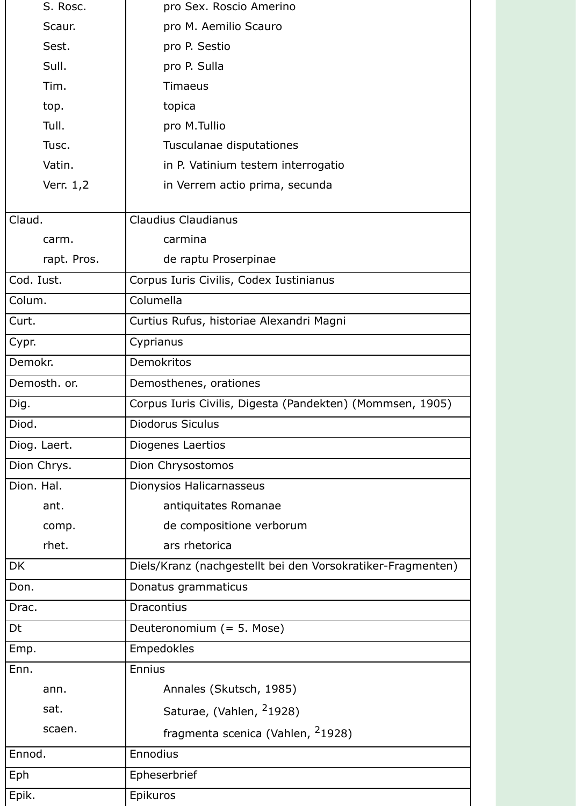| S. Rosc.     | pro Sex. Roscio Amerino                                     |
|--------------|-------------------------------------------------------------|
| Scaur.       | pro M. Aemilio Scauro                                       |
| Sest.        | pro P. Sestio                                               |
| Sull.        | pro P. Sulla                                                |
| Tim.         | <b>Timaeus</b>                                              |
| top.         | topica                                                      |
| Tull.        | pro M.Tullio                                                |
| Tusc.        | Tusculanae disputationes                                    |
| Vatin.       | in P. Vatinium testem interrogatio                          |
| Verr. 1,2    | in Verrem actio prima, secunda                              |
| Claud.       | <b>Claudius Claudianus</b>                                  |
| carm.        | carmina                                                     |
| rapt. Pros.  | de raptu Proserpinae                                        |
| Cod. Iust.   | Corpus Iuris Civilis, Codex Iustinianus                     |
| Colum.       | Columella                                                   |
| Curt.        | Curtius Rufus, historiae Alexandri Magni                    |
| Cypr.        | Cyprianus                                                   |
| Demokr.      | <b>Demokritos</b>                                           |
| Demosth. or. | Demosthenes, orationes                                      |
| Dig.         | Corpus Iuris Civilis, Digesta (Pandekten) (Mommsen, 1905)   |
| Diod.        | <b>Diodorus Siculus</b>                                     |
| Diog. Laert. | Diogenes Laertios                                           |
| Dion Chrys.  | Dion Chrysostomos                                           |
| Dion. Hal.   | Dionysios Halicarnasseus                                    |
| ant.         | antiquitates Romanae                                        |
| comp.        | de compositione verborum                                    |
| rhet.        | ars rhetorica                                               |
| <b>DK</b>    | Diels/Kranz (nachgestellt bei den Vorsokratiker-Fragmenten) |
| Don.         | Donatus grammaticus                                         |
| Drac.        | Dracontius                                                  |
| Dt           | Deuteronomium (= 5. Mose)                                   |
| Emp.         | <b>Empedokles</b>                                           |
| Enn.         | <b>Ennius</b>                                               |
| ann.         | Annales (Skutsch, 1985)                                     |
| sat.         | Saturae, (Vahlen, <sup>2</sup> 1928)                        |
| scaen.       | fragmenta scenica (Vahlen, <sup>2</sup> 1928)               |
| Ennod.       | Ennodius                                                    |
| Eph          | Epheserbrief                                                |
| Epik.        | Epikuros                                                    |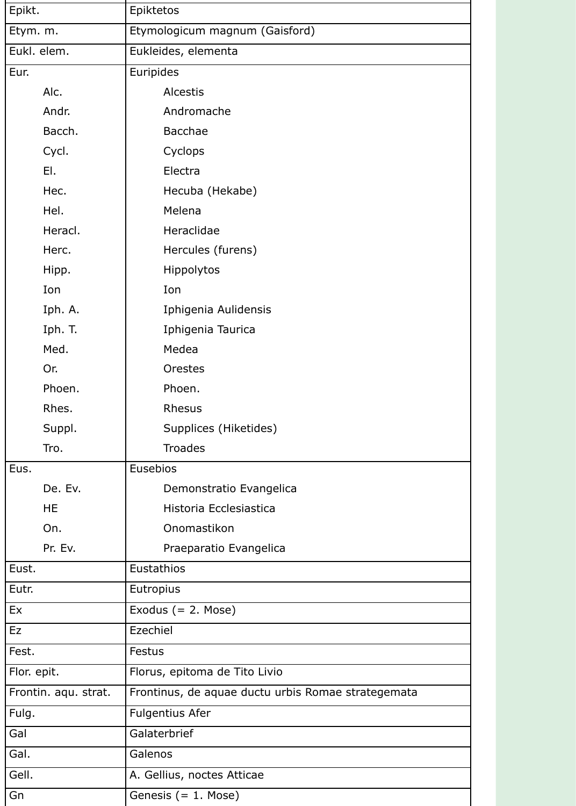| Epikt.      |                      | Epiktetos                                          |
|-------------|----------------------|----------------------------------------------------|
| Etym. m.    |                      | Etymologicum magnum (Gaisford)                     |
| Eukl. elem. |                      | Eukleides, elementa                                |
| Eur.        |                      | Euripides                                          |
|             | Alc.                 | <b>Alcestis</b>                                    |
|             | Andr.                | Andromache                                         |
|             | Bacch.               | <b>Bacchae</b>                                     |
|             | Cycl.                | Cyclops                                            |
|             | EI.                  | Electra                                            |
|             | Hec.                 | Hecuba (Hekabe)                                    |
|             | Hel.                 | Melena                                             |
|             | Heracl.              | Heraclidae                                         |
|             | Herc.                | Hercules (furens)                                  |
|             | Hipp.                | Hippolytos                                         |
|             | Ion                  | Ion                                                |
|             | Iph. A.              | Iphigenia Aulidensis                               |
|             | Iph. T.              | Iphigenia Taurica                                  |
|             | Med.                 | Medea                                              |
|             | Or.                  | Orestes                                            |
|             | Phoen.               | Phoen.                                             |
|             | Rhes.                | <b>Rhesus</b>                                      |
|             | Suppl.               | Supplices (Hiketides)                              |
|             | Tro.                 | <b>Troades</b>                                     |
| Eus.        |                      | Eusebios                                           |
|             | De. Ev.              | Demonstratio Evangelica                            |
|             | <b>HE</b>            | Historia Ecclesiastica                             |
|             | On.                  | Onomastikon                                        |
|             | Pr. Ev.              | Praeparatio Evangelica                             |
| Eust.       |                      | Eustathios                                         |
| Eutr.       |                      | Eutropius                                          |
| Ex          |                      | Exodus $(= 2.$ Mose)                               |
| Ez          |                      | Ezechiel                                           |
| Fest.       |                      | <b>Festus</b>                                      |
| Flor. epit. |                      | Florus, epitoma de Tito Livio                      |
|             | Frontin. aqu. strat. | Frontinus, de aquae ductu urbis Romae strategemata |
| Fulg.       |                      | <b>Fulgentius Afer</b>                             |
| Gal         |                      | Galaterbrief                                       |
| Gal.        |                      | Galenos                                            |
| Gell.       |                      | A. Gellius, noctes Atticae                         |
| Gn          |                      | Genesis $(= 1.$ Mose)                              |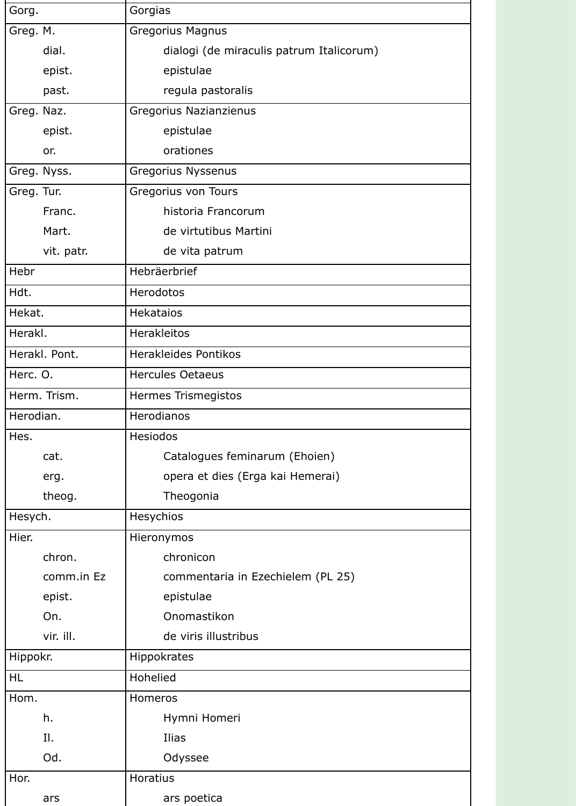| Gorg.         | Gorgias                                  |
|---------------|------------------------------------------|
| Greg. M.      | <b>Gregorius Magnus</b>                  |
| dial.         | dialogi (de miraculis patrum Italicorum) |
| epist.        | epistulae                                |
| past.         | regula pastoralis                        |
| Greg. Naz.    | Gregorius Nazianzienus                   |
| epist.        | epistulae                                |
| or.           | orationes                                |
| Greg. Nyss.   | Gregorius Nyssenus                       |
| Greg. Tur.    | Gregorius von Tours                      |
| Franc.        | historia Francorum                       |
| Mart.         | de virtutibus Martini                    |
| vit. patr.    | de vita patrum                           |
| Hebr          | Hebräerbrief                             |
| Hdt.          | Herodotos                                |
| Hekat.        | <b>Hekataios</b>                         |
| Herakl.       | <b>Herakleitos</b>                       |
| Herakl. Pont. | <b>Herakleides Pontikos</b>              |
| Herc. O.      | <b>Hercules Oetaeus</b>                  |
| Herm. Trism.  | <b>Hermes Trismegistos</b>               |
| Herodian.     | Herodianos                               |
| Hes.          | <b>Hesiodos</b>                          |
| cat.          | Catalogues feminarum (Ehoien)            |
| erg.          | opera et dies (Erga kai Hemerai)         |
| theog.        | Theogonia                                |
| Hesych.       | Hesychios                                |
| Hier.         | Hieronymos                               |
| chron.        | chronicon                                |
| comm.in Ez    | commentaria in Ezechielem (PL 25)        |
| epist.        | epistulae                                |
| On.           | Onomastikon                              |
| vir. ill.     | de viris illustribus                     |
| Hippokr.      | <b>Hippokrates</b>                       |
| <b>HL</b>     | Hohelied                                 |
| Hom.          | Homeros                                  |
| h.            | Hymni Homeri                             |
| II.           | Ilias                                    |
| Od.           | Odyssee                                  |
| Hor.          | Horatius                                 |
| ars           | ars poetica                              |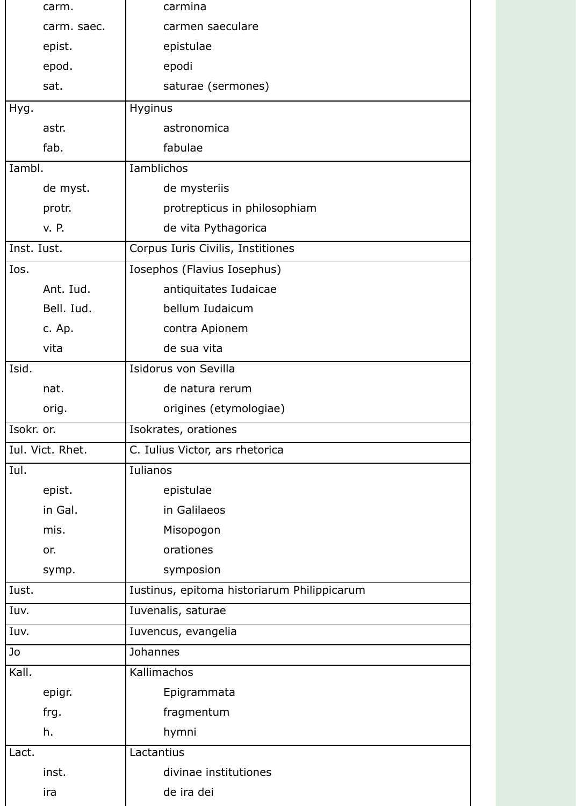| carm.            | carmina                                     |
|------------------|---------------------------------------------|
| carm. saec.      | carmen saeculare                            |
| epist.           | epistulae                                   |
| epod.            | epodi                                       |
| sat.             | saturae (sermones)                          |
| Hyg.             | Hyginus                                     |
| astr.            | astronomica                                 |
| fab.             | fabulae                                     |
| Iambl.           | <b>Iamblichos</b>                           |
| de myst.         | de mysteriis                                |
| protr.           | protrepticus in philosophiam                |
| v. P.            | de vita Pythagorica                         |
| Inst. Iust.      | Corpus Iuris Civilis, Institiones           |
| Ios.             | Iosephos (Flavius Iosephus)                 |
| Ant. Iud.        | antiquitates Iudaicae                       |
| Bell. Iud.       | bellum Iudaicum                             |
| c. Ap.           | contra Apionem                              |
| vita             | de sua vita                                 |
| Isid.            | Isidorus von Sevilla                        |
| nat.             | de natura rerum                             |
| orig.            | origines (etymologiae)                      |
| Isokr. or.       | Isokrates, orationes                        |
| Iul. Vict. Rhet. | C. Iulius Victor, ars rhetorica             |
| Iul.             | <b>Iulianos</b>                             |
| epist.           | epistulae                                   |
| in Gal.          | in Galilaeos                                |
| mis.             | Misopogon                                   |
| or.              | orationes                                   |
| symp.            | symposion                                   |
| Iust.            | Iustinus, epitoma historiarum Philippicarum |
| Iuv.             | Iuvenalis, saturae                          |
| Iuv.             | Iuvencus, evangelia                         |
| Jo               | <b>Johannes</b>                             |
| Kall.            | Kallimachos                                 |
| epigr.           | Epigrammata                                 |
| frg.             | fragmentum                                  |
| h.               | hymni                                       |
| Lact.            | Lactantius                                  |
| inst.            | divinae institutiones                       |
| ira              | de ira dei                                  |

H.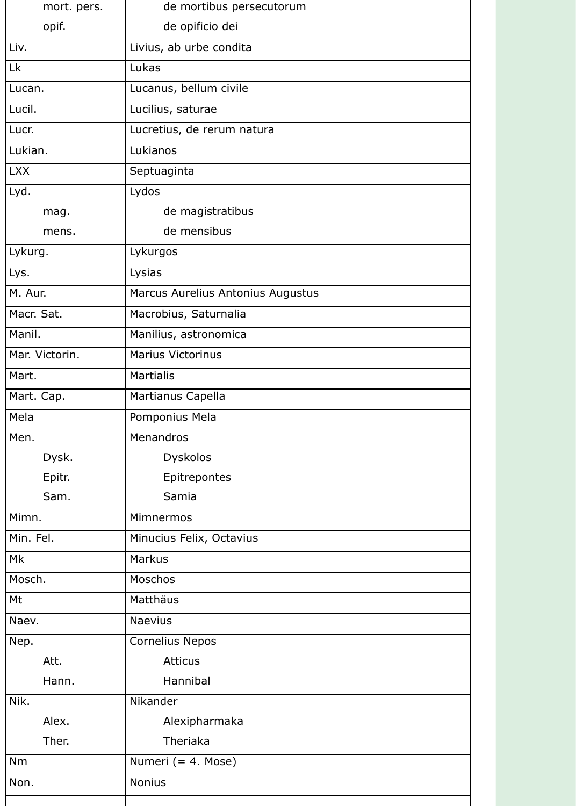| mort. pers.    | de mortibus persecutorum          |
|----------------|-----------------------------------|
| opif.          | de opificio dei                   |
| Liv.           | Livius, ab urbe condita           |
| Lk             | Lukas                             |
| Lucan.         | Lucanus, bellum civile            |
| Lucil.         | Lucilius, saturae                 |
| Lucr.          | Lucretius, de rerum natura        |
| Lukian.        | Lukianos                          |
| <b>LXX</b>     | Septuaginta                       |
| Lyd.           | Lydos                             |
| mag.           | de magistratibus                  |
| mens.          | de mensibus                       |
| Lykurg.        | Lykurgos                          |
| Lys.           | Lysias                            |
| M. Aur.        | Marcus Aurelius Antonius Augustus |
| Macr. Sat.     | Macrobius, Saturnalia             |
| Manil.         | Manilius, astronomica             |
| Mar. Victorin. | <b>Marius Victorinus</b>          |
| Mart.          | <b>Martialis</b>                  |
| Mart. Cap.     | Martianus Capella                 |
| Mela           | Pomponius Mela                    |
| Men.           | Menandros                         |
| Dysk.          | <b>Dyskolos</b>                   |
| Epitr.         | Epitrepontes                      |
| Sam.           | Samia                             |
| Mimn.          | Mimnermos                         |
| Min. Fel.      | Minucius Felix, Octavius          |
| Mk             | <b>Markus</b>                     |
| Mosch.         | Moschos                           |
| Mt             | Matthäus                          |
| Naev.          | <b>Naevius</b>                    |
| Nep.           | <b>Cornelius Nepos</b>            |
| Att.           | <b>Atticus</b>                    |
| Hann.          | Hannibal                          |
| Nik.           | Nikander                          |
| Alex.          | Alexipharmaka                     |
| Ther.          | Theriaka                          |
| <b>Nm</b>      | Numeri (= 4. Mose)                |
| Non.           | <b>Nonius</b>                     |
|                |                                   |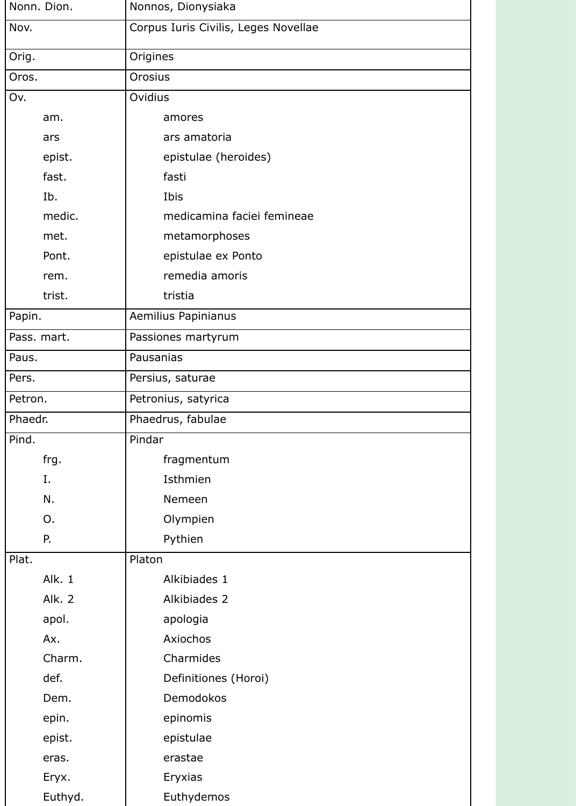| Nonn. Dion.   | Nonnos, Dionysiaka                   |
|---------------|--------------------------------------|
| Nov.          | Corpus Iuris Civilis, Leges Novellae |
| Orig.         | Origines                             |
| Oros.         | Orosius                              |
| Ov.           | Ovidius                              |
| am.           | amores                               |
| ars           | ars amatoria                         |
| epist.        | epistulae (heroides)                 |
| fast.         | fasti                                |
| Ib.           | Ibis                                 |
| medic.        | medicamina faciei femineae           |
| met.          | metamorphoses                        |
| Pont.         | epistulae ex Ponto                   |
| rem.          | remedia amoris                       |
| trist.        | tristia                              |
| Papin.        | Aemilius Papinianus                  |
| Pass. mart.   | Passiones martyrum                   |
| Paus.         | Pausanias                            |
| Pers.         | Persius, saturae                     |
| Petron.       | Petronius, satyrica                  |
| Phaedr.       | Phaedrus, fabulae                    |
| Pind.         | Pindar                               |
| frg.          | fragmentum                           |
| Ι.            | Isthmien                             |
| N.            | Nemeen                               |
| O.            | Olympien                             |
| P.            | Pythien                              |
| Plat.         | Platon                               |
| Alk. 1        | Alkibiades 1                         |
| <b>Alk. 2</b> | Alkibiades 2                         |
| apol.         | apologia                             |
| Ax.           | Axiochos                             |
| Charm.        | Charmides                            |
| def.          | Definitiones (Horoi)                 |
| Dem.          | Demodokos                            |
| epin.         | epinomis                             |
| epist.        | epistulae                            |
| eras.         | erastae                              |
| Eryx.         | Eryxias                              |
| Euthyd.       | Euthydemos                           |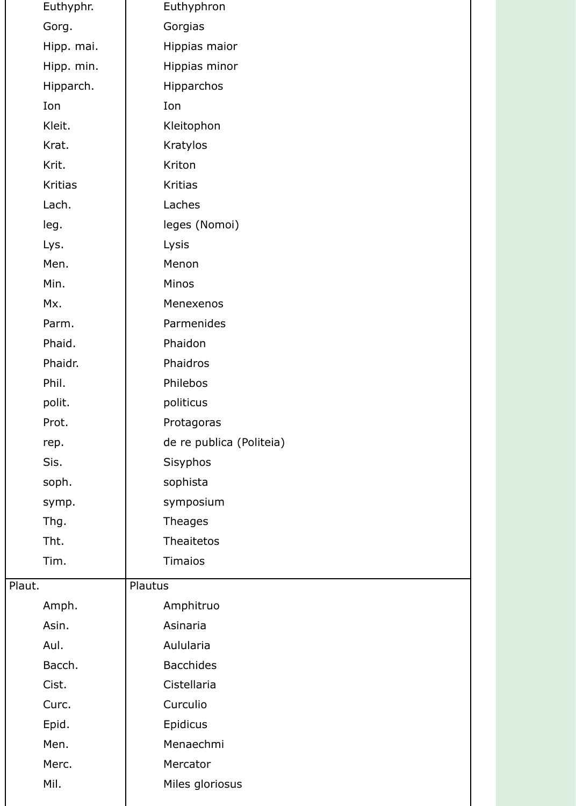| Euthyphr.      | Euthyphron               |
|----------------|--------------------------|
| Gorg.          | Gorgias                  |
| Hipp. mai.     | Hippias maior            |
| Hipp. min.     | Hippias minor            |
| Hipparch.      | Hipparchos               |
| Ion            | Ion                      |
| Kleit.         | Kleitophon               |
| Krat.          | Kratylos                 |
| Krit.          | Kriton                   |
| <b>Kritias</b> | <b>Kritias</b>           |
| Lach.          | Laches                   |
| leg.           | leges (Nomoi)            |
| Lys.           | Lysis                    |
| Men.           | Menon                    |
| Min.           | Minos                    |
| Mx.            | Menexenos                |
| Parm.          | Parmenides               |
| Phaid.         | Phaidon                  |
| Phaidr.        | Phaidros                 |
| Phil.          | Philebos                 |
| polit.         | politicus                |
| Prot.          | Protagoras               |
| rep.           | de re publica (Politeia) |
| Sis.           | Sisyphos                 |
| soph.          | sophista                 |
| symp.          | symposium                |
| Thg.           | <b>Theages</b>           |
| Tht.           | <b>Theaitetos</b>        |
| Tim.           | <b>Timaios</b>           |
| Plaut.         | Plautus                  |
| Amph.          | Amphitruo                |
| Asin.          | Asinaria                 |
| Aul.           | Aulularia                |
| Bacch.         | <b>Bacchides</b>         |
| Cist.          | Cistellaria              |
| Curc.          | Curculio                 |
| Epid.          | Epidicus                 |
| Men.           | Menaechmi                |
| Merc.          | Mercator                 |
| Mil.           | Miles gloriosus          |
|                |                          |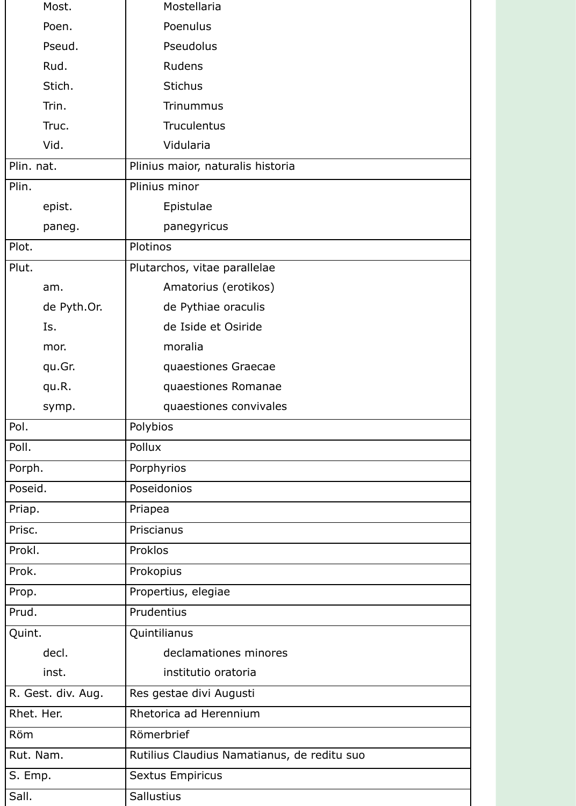| Most.              |             | Mostellaria                                 |
|--------------------|-------------|---------------------------------------------|
| Poen.              |             | Poenulus                                    |
| Pseud.             |             | Pseudolus                                   |
| Rud.               |             | <b>Rudens</b>                               |
| Stich.             |             | <b>Stichus</b>                              |
| Trin.              |             | <b>Trinummus</b>                            |
| Truc.              |             | <b>Truculentus</b>                          |
| Vid.               |             | Vidularia                                   |
| Plin. nat.         |             | Plinius maior, naturalis historia           |
| Plin.              |             | Plinius minor                               |
| epist.             |             | Epistulae                                   |
| paneg.             |             | panegyricus                                 |
| Plot.              |             | Plotinos                                    |
| Plut.              |             | Plutarchos, vitae parallelae                |
| am.                |             | Amatorius (erotikos)                        |
|                    | de Pyth.Or. | de Pythiae oraculis                         |
| Is.                |             | de Iside et Osiride                         |
| mor.               |             | moralia                                     |
| qu.Gr.             |             | quaestiones Graecae                         |
| qu.R.              |             | quaestiones Romanae                         |
| symp.              |             | quaestiones convivales                      |
| Pol.               |             | Polybios                                    |
| Poll.              |             | Pollux                                      |
| Porph.             |             | Porphyrios                                  |
| Poseid.            |             | Poseidonios                                 |
| Priap.             |             | Priapea                                     |
| Prisc.             |             | Priscianus                                  |
| Prokl.             |             | Proklos                                     |
| Prok.              |             | Prokopius                                   |
| Prop.              |             | Propertius, elegiae                         |
| Prud.              |             | Prudentius                                  |
| Quint.             |             | Quintilianus                                |
| decl.              |             | declamationes minores                       |
| inst.              |             | institutio oratoria                         |
| R. Gest. div. Aug. |             | Res gestae divi Augusti                     |
| Rhet. Her.         |             | Rhetorica ad Herennium                      |
| Röm                |             | Römerbrief                                  |
| Rut. Nam.          |             | Rutilius Claudius Namatianus, de reditu suo |
| S. Emp.            |             | <b>Sextus Empiricus</b>                     |
| Sall.              |             | Sallustius                                  |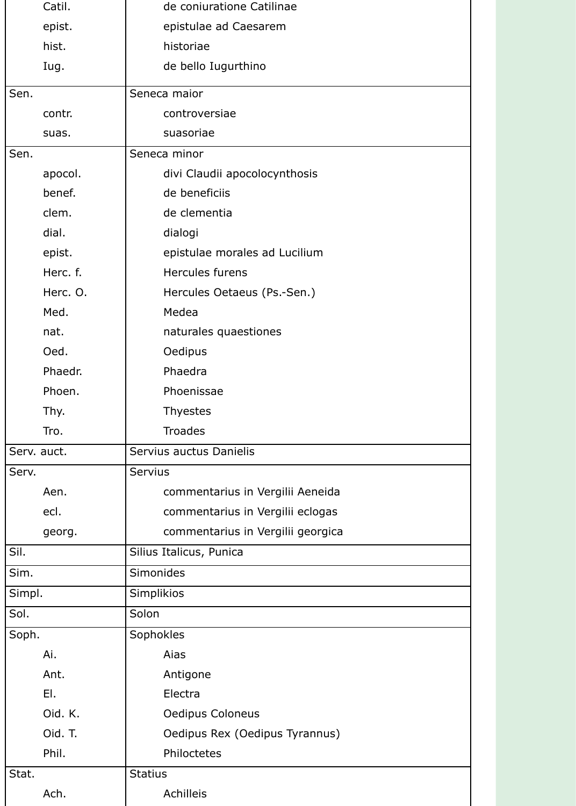| Catil.      | de coniuratione Catilinae         |
|-------------|-----------------------------------|
| epist.      | epistulae ad Caesarem             |
| hist.       | historiae                         |
| Iug.        | de bello Iugurthino               |
| Sen.        | Seneca maior                      |
| contr.      | controversiae                     |
| suas.       | suasoriae                         |
| Sen.        | Seneca minor                      |
| apocol.     | divi Claudii apocolocynthosis     |
| benef.      | de beneficiis                     |
| clem.       | de clementia                      |
| dial.       | dialogi                           |
| epist.      | epistulae morales ad Lucilium     |
| Herc. f.    | Hercules furens                   |
| Herc. O.    | Hercules Oetaeus (Ps.-Sen.)       |
| Med.        | Medea                             |
| nat.        | naturales quaestiones             |
| Oed.        | Oedipus                           |
| Phaedr.     | Phaedra                           |
| Phoen.      | Phoenissae                        |
| Thy.        | <b>Thyestes</b>                   |
| Tro.        | <b>Troades</b>                    |
| Serv. auct. | Servius auctus Danielis           |
| Serv.       | <b>Servius</b>                    |
| Aen.        | commentarius in Vergilii Aeneida  |
| ecl.        | commentarius in Vergilii eclogas  |
| georg.      | commentarius in Vergilii georgica |
| Sil.        | Silius Italicus, Punica           |
| Sim.        | Simonides                         |
| Simpl.      | Simplikios                        |
| Sol.        | Solon                             |
| Soph.       | Sophokles                         |
| Ai.         | Aias                              |
| Ant.        | Antigone                          |
| EL          | Electra                           |
| Oid. K.     | <b>Oedipus Coloneus</b>           |
| Oid. T.     | Oedipus Rex (Oedipus Tyrannus)    |
| Phil.       | Philoctetes                       |
| Stat.       | <b>Statius</b>                    |
| Ach.        | <b>Achilleis</b>                  |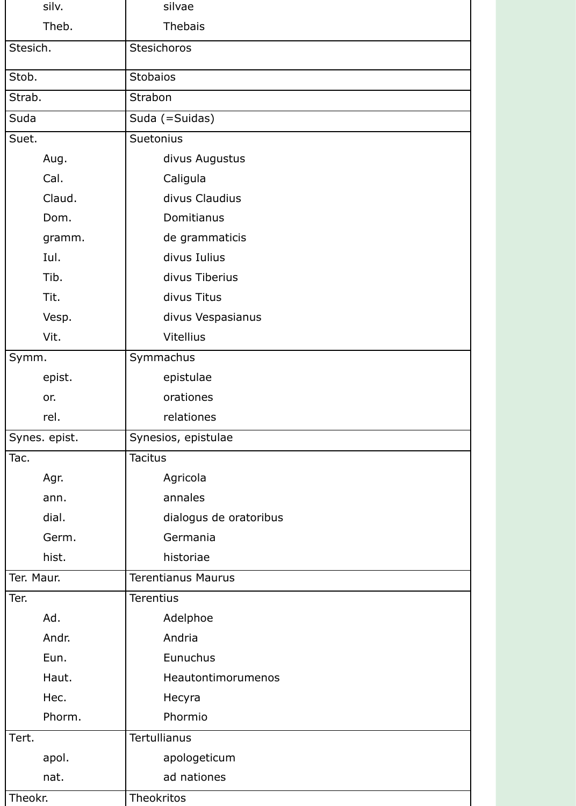| silv.         | silvae                    |
|---------------|---------------------------|
| Theb.         | <b>Thebais</b>            |
| Stesich.      | Stesichoros               |
| Stob.         | Stobaios                  |
| Strab.        | Strabon                   |
| Suda          | Suda (=Suidas)            |
| Suet.         | <b>Suetonius</b>          |
| Aug.          | divus Augustus            |
| Cal.          | Caligula                  |
| Claud.        | divus Claudius            |
| Dom.          | Domitianus                |
| gramm.        | de grammaticis            |
| Iul.          | divus Iulius              |
| Tib.          | divus Tiberius            |
| Tit.          | divus Titus               |
| Vesp.         | divus Vespasianus         |
| Vit.          | <b>Vitellius</b>          |
| Symm.         | Symmachus                 |
| epist.        | epistulae                 |
| or.           | orationes                 |
| rel.          | relationes                |
| Synes. epist. | Synesios, epistulae       |
| Tac.          | <b>Tacitus</b>            |
| Agr.          | Agricola                  |
| ann.          | annales                   |
| dial.         | dialogus de oratoribus    |
| Germ.         | Germania                  |
| hist.         | historiae                 |
| Ter. Maur.    | <b>Terentianus Maurus</b> |
| Ter.          | <b>Terentius</b>          |
| Ad.           | Adelphoe                  |
| Andr.         | Andria                    |
| Eun.          | Eunuchus                  |
| Haut.         | Heautontimorumenos        |
| Hec.          | Hecyra                    |
| Phorm.        | Phormio                   |
| Tert.         | Tertullianus              |
| apol.         | apologeticum              |
| nat.          | ad nationes               |
| Theokr.       | Theokritos                |